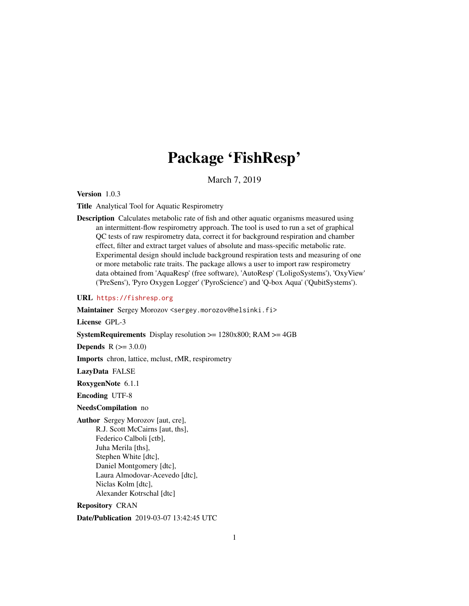## Package 'FishResp'

March 7, 2019

<span id="page-0-0"></span>Version 1.0.3

Title Analytical Tool for Aquatic Respirometry

Description Calculates metabolic rate of fish and other aquatic organisms measured using an intermittent-flow respirometry approach. The tool is used to run a set of graphical QC tests of raw respirometry data, correct it for background respiration and chamber effect, filter and extract target values of absolute and mass-specific metabolic rate. Experimental design should include background respiration tests and measuring of one or more metabolic rate traits. The package allows a user to import raw respirometry data obtained from 'AquaResp' (free software), 'AutoResp' ('LoligoSystems'), 'OxyView' ('PreSens'), 'Pyro Oxygen Logger' ('PyroScience') and 'Q-box Aqua' ('QubitSystems').

URL <https://fishresp.org>

Maintainer Sergey Morozov <sergey.morozov@helsinki.fi>

License GPL-3

**SystemRequirements** Display resolution  $>= 1280x800$ ; RAM  $>= 4GB$ 

**Depends**  $R (= 3.0.0)$ 

Imports chron, lattice, mclust, rMR, respirometry

LazyData FALSE

RoxygenNote 6.1.1

Encoding UTF-8

NeedsCompilation no

Author Sergey Morozov [aut, cre], R.J. Scott McCairns [aut, ths], Federico Calboli [ctb], Juha Merila [ths], Stephen White [dtc], Daniel Montgomery [dtc], Laura Almodovar-Acevedo [dtc], Niclas Kolm [dtc], Alexander Kotrschal [dtc]

Repository CRAN

Date/Publication 2019-03-07 13:42:45 UTC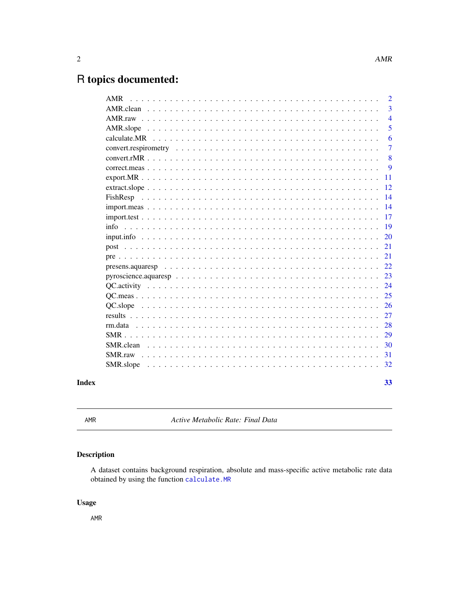## <span id="page-1-0"></span>R topics documented:

| <b>AMR</b>                                                                                                                    | $\overline{2}$ |
|-------------------------------------------------------------------------------------------------------------------------------|----------------|
|                                                                                                                               | $\overline{3}$ |
|                                                                                                                               | $\overline{4}$ |
| AMR.slope                                                                                                                     | 5              |
|                                                                                                                               | 6              |
| $convert. respectively \dots \dots \dots \dots \dots \dots \dots \dots \dots \dots \dots \dots \dots \dots \dots \dots \dots$ | $\overline{7}$ |
|                                                                                                                               | 8              |
|                                                                                                                               | 9              |
|                                                                                                                               | 11             |
|                                                                                                                               | 12             |
|                                                                                                                               | 14             |
|                                                                                                                               | 14             |
|                                                                                                                               | 17             |
| info                                                                                                                          | 19             |
|                                                                                                                               | 20             |
|                                                                                                                               | 21             |
|                                                                                                                               | 21             |
|                                                                                                                               | 22             |
|                                                                                                                               | 23             |
|                                                                                                                               | 24             |
|                                                                                                                               | 25             |
|                                                                                                                               | 26             |
|                                                                                                                               | 27             |
| rm.data                                                                                                                       | 28             |
|                                                                                                                               | 29             |
| SMR.clean                                                                                                                     | 30             |
| SMR.raw                                                                                                                       | 31             |
|                                                                                                                               | 32             |
|                                                                                                                               |                |
|                                                                                                                               | 33             |

## **Index**

AMR

Active Metabolic Rate: Final Data

## Description

A dataset contains background respiration, absolute and mass-specific active metabolic rate data obtained by using the function calculate.MR

## **Usage**

AMR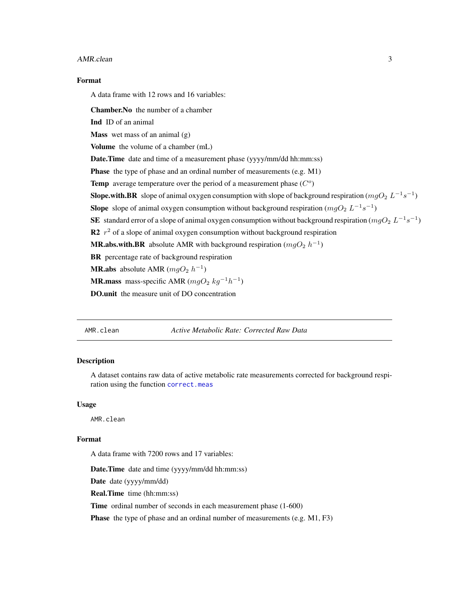#### <span id="page-2-0"></span>AMR.clean 3

## Format

A data frame with 12 rows and 16 variables:

Chamber.No the number of a chamber

Ind ID of an animal

**Mass** wet mass of an animal  $(g)$ 

Volume the volume of a chamber (mL)

Date.Time date and time of a measurement phase (yyyy/mm/dd hh:mm:ss)

Phase the type of phase and an ordinal number of measurements (e.g. M1)

Temp average temperature over the period of a measurement phase  $(C<sup>o</sup>)$ 

**Slope.with.BR** slope of animal oxygen consumption with slope of background respiration ( $mgO_2 L^{-1}s^{-1}$ )

**Slope** slope of animal oxygen consumption without background respiration  $(mgO_2 L^{-1}s^{-1})$ 

SE standard error of a slope of animal oxygen consumption without background respiration ( $mgO_2$   $L^{-1}s^{-1}$ )

R2  $r^2$  of a slope of animal oxygen consumption without background respiration

**MR.abs.with.BR** absolute AMR with background respiration  $(mgO_2 h^{-1})$ 

BR percentage rate of background respiration

**MR.abs** absolute AMR  $(mgO_2 h^{-1})$ 

**MR.mass** mass-specific AMR ( $mgO_2$  kg<sup>-1</sup>h<sup>-1</sup>)

DO.unit the measure unit of DO concentration

AMR.clean *Active Metabolic Rate: Corrected Raw Data*

## Description

A dataset contains raw data of active metabolic rate measurements corrected for background respiration using the function [correct.meas](#page-8-1)

#### Usage

AMR.clean

## Format

A data frame with 7200 rows and 17 variables:

Date.Time date and time (yyyy/mm/dd hh:mm:ss)

Date date (yyyy/mm/dd)

Real.Time time (hh:mm:ss)

Time ordinal number of seconds in each measurement phase  $(1-600)$ 

Phase the type of phase and an ordinal number of measurements (e.g. M1, F3)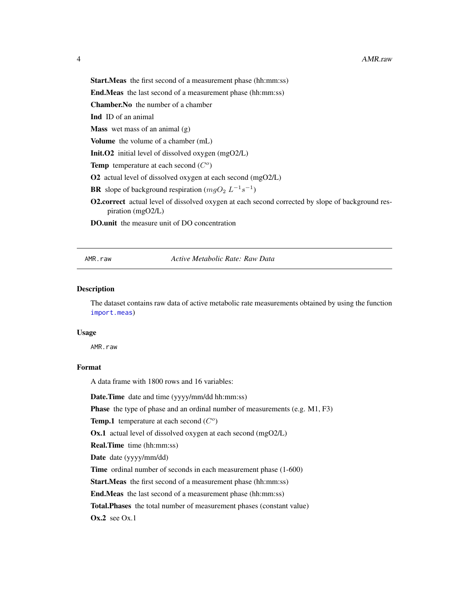<span id="page-3-0"></span>Start.Meas the first second of a measurement phase (hh:mm:ss)

End.Meas the last second of a measurement phase (hh:mm:ss)

Chamber.No the number of a chamber

Ind ID of an animal

**Mass** wet mass of an animal  $(g)$ 

Volume the volume of a chamber (mL)

Init.O2 initial level of dissolved oxygen (mgO2/L)

Temp temperature at each second  $(C<sup>o</sup>)$ 

O2 actual level of dissolved oxygen at each second (mgO2/L)

**BR** slope of background respiration  $(mgO_2 L^{-1} s^{-1})$ 

O2.correct actual level of dissolved oxygen at each second corrected by slope of background respiration (mgO2/L)

DO.unit the measure unit of DO concentration

#### AMR.raw *Active Metabolic Rate: Raw Data*

## **Description**

The dataset contains raw data of active metabolic rate measurements obtained by using the function [import.meas](#page-13-1))

#### Usage

AMR.raw

#### Format

A data frame with 1800 rows and 16 variables:

Date.Time date and time (yyyy/mm/dd hh:mm:ss)

Phase the type of phase and an ordinal number of measurements (e.g. M1, F3)

Temp.1 temperature at each second  $(C<sup>o</sup>)$ 

Ox.1 actual level of dissolved oxygen at each second (mgO2/L)

Real.Time time (hh:mm:ss)

Date date (yyyy/mm/dd)

Time ordinal number of seconds in each measurement phase (1-600)

Start.Meas the first second of a measurement phase (hh:mm:ss)

End.Meas the last second of a measurement phase (hh:mm:ss)

Total.Phases the total number of measurement phases (constant value)

 $Ox.2$  see  $Ox.1$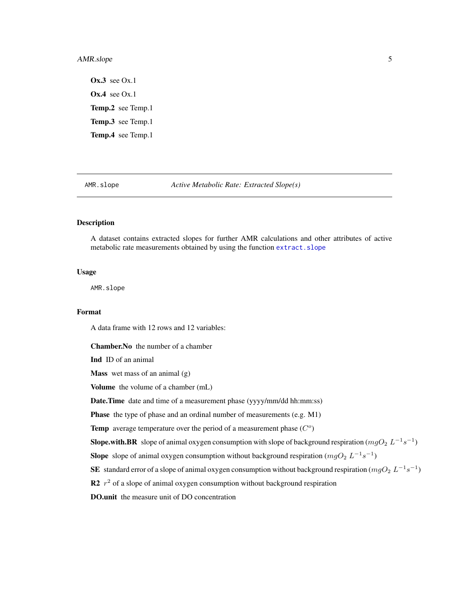## <span id="page-4-0"></span>AMR.slope 5

 $Ox.3$  see  $Ox.1$ **Ox.4** see Ox.1 Temp.2 see Temp.1 Temp.3 see Temp.1 Temp.4 see Temp.1

AMR.slope *Active Metabolic Rate: Extracted Slope(s)*

## Description

A dataset contains extracted slopes for further AMR calculations and other attributes of active metabolic rate measurements obtained by using the function [extract.slope](#page-11-1)

### Usage

AMR.slope

## Format

A data frame with 12 rows and 12 variables:

Chamber.No the number of a chamber

Ind ID of an animal

**Mass** wet mass of an animal  $(g)$ 

Volume the volume of a chamber (mL)

Date.Time date and time of a measurement phase (yyyy/mm/dd hh:mm:ss)

Phase the type of phase and an ordinal number of measurements (e.g. M1)

Temp average temperature over the period of a measurement phase  $(C<sup>o</sup>)$ 

**Slope.with.BR** slope of animal oxygen consumption with slope of background respiration ( $mgO_2 L^{-1}s^{-1}$ )

**Slope** slope of animal oxygen consumption without background respiration  $(mgO_2 L^{-1}s^{-1})$ 

SE standard error of a slope of animal oxygen consumption without background respiration ( $mgO_2$   $L^{-1}s^{-1}$ )

R2  $r^2$  of a slope of animal oxygen consumption without background respiration

DO.unit the measure unit of DO concentration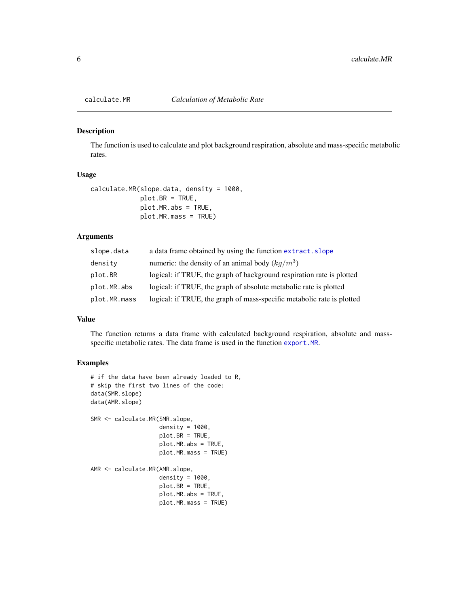<span id="page-5-1"></span><span id="page-5-0"></span>

The function is used to calculate and plot background respiration, absolute and mass-specific metabolic rates.

#### Usage

```
calculate.MR(slope.data, density = 1000,
             plot.BR = TRUE,
             plot.MR.abs = TRUE,
             plot.MR.mass = TRUE)
```
## Arguments

| slope.data   | a data frame obtained by using the function extract. slope             |
|--------------|------------------------------------------------------------------------|
| density      | numeric: the density of an animal body $(kq/m^3)$                      |
| plot.BR      | logical: if TRUE, the graph of background respiration rate is plotted  |
| plot.MR.abs  | logical: if TRUE, the graph of absolute metabolic rate is plotted      |
| plot.MR.mass | logical: if TRUE, the graph of mass-specific metabolic rate is plotted |

## Value

The function returns a data frame with calculated background respiration, absolute and massspecific metabolic rates. The data frame is used in the function [export.MR](#page-10-1).

## Examples

```
# if the data have been already loaded to R,
# skip the first two lines of the code:
data(SMR.slope)
data(AMR.slope)
SMR <- calculate.MR(SMR.slope,
                    density = 1000,
                    plot.BR = TRUE,
                    plot.MR.abs = TRUE,
                    plot.MR.mass = TRUE)
AMR <- calculate.MR(AMR.slope,
                    density = 1000,
                    plot.BR = TRUE,
                    plot.MR.abs = TRUE,
                    plot.MR.mass = TRUE)
```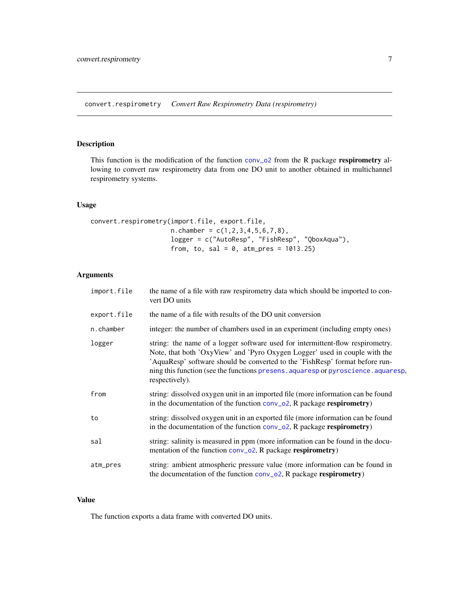<span id="page-6-1"></span><span id="page-6-0"></span>convert.respirometry *Convert Raw Respirometry Data (respirometry)*

## Description

This function is the modification of the function [conv\\_o2](#page-0-0) from the R package respirometry allowing to convert raw respirometry data from one DO unit to another obtained in multichannel respirometry systems.

## Usage

```
convert.respirometry(import.file, export.file,
                     n.chamber = c(1,2,3,4,5,6,7,8),
                     logger = c("AutoResp", "FishResp", "QboxAqua"),
                     from, to, sal = 0, atm_pres = 1013.25)
```
## Arguments

| import.file | the name of a file with raw respirometry data which should be imported to con-<br>vert DO units                                                                                                                                                                                                                                                     |
|-------------|-----------------------------------------------------------------------------------------------------------------------------------------------------------------------------------------------------------------------------------------------------------------------------------------------------------------------------------------------------|
| export.file | the name of a file with results of the DO unit conversion                                                                                                                                                                                                                                                                                           |
| n.chamber   | integer: the number of chambers used in an experiment (including empty ones)                                                                                                                                                                                                                                                                        |
| logger      | string: the name of a logger software used for intermittent-flow respirometry.<br>Note, that both 'OxyView' and 'Pyro Oxygen Logger' used in couple with the<br>'AquaResp' software should be converted to the 'FishResp' format before run-<br>ning this function (see the functions presens, aquaresp or pyroscience, aquaresp,<br>respectively). |
| from        | string: dissolved oxygen unit in an imported file (more information can be found<br>in the documentation of the function conv_o2, R package respirometry)                                                                                                                                                                                           |
| to          | string: dissolved oxygen unit in an exported file (more information can be found<br>in the documentation of the function $conv_02$ , R package respirometry)                                                                                                                                                                                        |
| sal         | string: salinity is measured in ppm (more information can be found in the docu-<br>mentation of the function conv_o2, R package respirometry)                                                                                                                                                                                                       |
| atm_pres    | string: ambient atmospheric pressure value (more information can be found in<br>the documentation of the function $conv_02$ , R package respirometry)                                                                                                                                                                                               |

## Value

The function exports a data frame with converted DO units.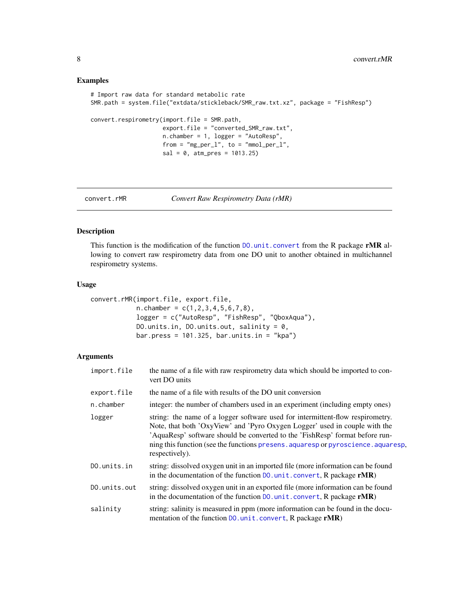## Examples

```
# Import raw data for standard metabolic rate
SMR.path = system.file("extdata/stickleback/SMR_raw.txt.xz", package = "FishResp")
convert.respirometry(import.file = SMR.path,
                     export.file = "converted_SMR_raw.txt",
                     n.chamber = 1, logger = "AutoResp",
                     from = "mg\_per\_l", to = "mmol\_per\_l",sal = 0, atm_pres = 1013.25
```
<span id="page-7-1"></span>convert.rMR *Convert Raw Respirometry Data (rMR)*

## Description

This function is the modification of the function  $DO.unit. convert$  from the R package rMR allowing to convert raw respirometry data from one DO unit to another obtained in multichannel respirometry systems.

#### Usage

```
convert.rMR(import.file, export.file,
            n.chamber = c(1, 2, 3, 4, 5, 6, 7, 8),
            logger = c("AutoResp", "FishResp", "QboxAqua"),
            DO.units.in, DO.units.out, salinity = 0,
            bar.press = 101.325, bar.units.in = "kpa")
```
## Arguments

| import.file                                                                                                                                                                                                                                                                                                                                                   | the name of a file with raw respirometry data which should be imported to con-<br>vert DO units                                                                  |  |  |  |
|---------------------------------------------------------------------------------------------------------------------------------------------------------------------------------------------------------------------------------------------------------------------------------------------------------------------------------------------------------------|------------------------------------------------------------------------------------------------------------------------------------------------------------------|--|--|--|
| export.file                                                                                                                                                                                                                                                                                                                                                   | the name of a file with results of the DO unit conversion                                                                                                        |  |  |  |
| n.chamber                                                                                                                                                                                                                                                                                                                                                     | integer: the number of chambers used in an experiment (including empty ones)                                                                                     |  |  |  |
| string: the name of a logger software used for intermittent-flow respirometry.<br>logger<br>Note, that both 'OxyView' and 'Pyro Oxygen Logger' used in couple with the<br>'AquaResp' software should be converted to the 'FishResp' format before run-<br>ning this function (see the functions presens, aquaresp or pyroscience, aquaresp,<br>respectively). |                                                                                                                                                                  |  |  |  |
| DO.units.in                                                                                                                                                                                                                                                                                                                                                   | string: dissolved oxygen unit in an imported file (more information can be found<br>in the documentation of the function $D0$ . unit. convert, R package $rMR$ ) |  |  |  |
| DO.units.out                                                                                                                                                                                                                                                                                                                                                  | string: dissolved oxygen unit in an exported file (more information can be found<br>in the documentation of the function $D0$ . unit. convert, R package $rMR$ ) |  |  |  |
| salinity                                                                                                                                                                                                                                                                                                                                                      | string: salinity is measured in ppm (more information can be found in the docu-<br>mentation of the function DO. unit. convert, R package rMR)                   |  |  |  |

<span id="page-7-0"></span>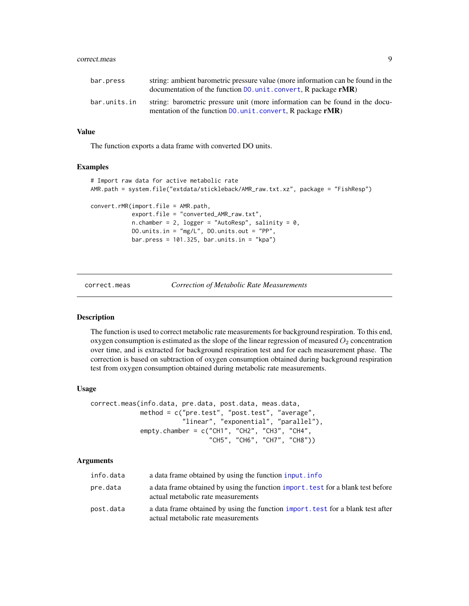#### <span id="page-8-0"></span>correct.meas 9

| bar.press    | string: ambient barometric pressure value (more information can be found in the<br>documentation of the function $D0$ , unit, convert, R package $rMR$ ) |
|--------------|----------------------------------------------------------------------------------------------------------------------------------------------------------|
| bar.units.in | string: barometric pressure unit (more information can be found in the docu-<br>mentation of the function DO. unit. convert, R package rMR)              |

## Value

The function exports a data frame with converted DO units.

## Examples

```
# Import raw data for active metabolic rate
AMR.path = system.file("extdata/stickleback/AMR_raw.txt.xz", package = "FishResp")
convert.rMR(import.file = AMR.path,
            export.file = "converted_AMR_raw.txt",
            n.chamber = 2, logger = "AutoResp", salinity = \theta,
            DO.units.in = "mg/L", DO.units.out = "PP",
            bar.press = 101.325, bar. units.in = "kpa")
```
<span id="page-8-1"></span>correct.meas *Correction of Metabolic Rate Measurements*

#### Description

The function is used to correct metabolic rate measurements for background respiration. To this end, oxygen consumption is estimated as the slope of the linear regression of measured  $O_2$  concentration over time, and is extracted for background respiration test and for each measurement phase. The correction is based on subtraction of oxygen consumption obtained during background respiration test from oxygen consumption obtained during metabolic rate measurements.

#### Usage

```
correct.meas(info.data, pre.data, post.data, meas.data,
             method = c("pre.test", "post.test", "average",
                        "linear", "exponential", "parallel"),
             empty.chamber = c("CH1", "CH2", "CH3", "CH4",
                               "CH5", "CH6", "CH7", "CH8"))
```
#### Arguments

| info.data | a data frame obtained by using the function input. info                                                                |
|-----------|------------------------------------------------------------------------------------------------------------------------|
| pre.data  | a data frame obtained by using the function import, test for a blank test before<br>actual metabolic rate measurements |
| post.data | a data frame obtained by using the function import, test for a blank test after<br>actual metabolic rate measurements  |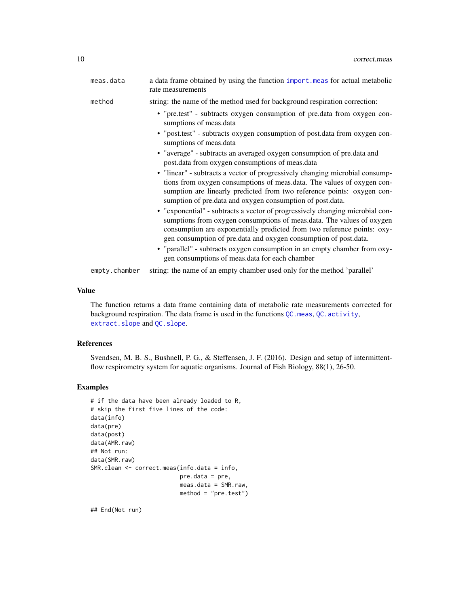<span id="page-9-0"></span>

| meas.data | a data frame obtained by using the function import meas for actual metabolic<br>rate measurements                                                                                                                                                                                                     |  |  |  |  |  |
|-----------|-------------------------------------------------------------------------------------------------------------------------------------------------------------------------------------------------------------------------------------------------------------------------------------------------------|--|--|--|--|--|
| method    | string: the name of the method used for background respiration correction:                                                                                                                                                                                                                            |  |  |  |  |  |
|           | • "pre.test" - subtracts oxygen consumption of pre.data from oxygen con-<br>sumptions of meas.data                                                                                                                                                                                                    |  |  |  |  |  |
|           | • "post.test" - subtracts oxygen consumption of post.data from oxygen con-<br>sumptions of meas.data                                                                                                                                                                                                  |  |  |  |  |  |
|           | • "average" - subtracts an averaged oxygen consumption of pre.data and<br>post.data from oxygen consumptions of meas.data                                                                                                                                                                             |  |  |  |  |  |
|           | • "linear" - subtracts a vector of progressively changing microbial consump-<br>tions from oxygen consumptions of meas.data. The values of oxygen con-<br>sumption are linearly predicted from two reference points: oxygen con-<br>sumption of pre.data and oxygen consumption of post.data.         |  |  |  |  |  |
|           | • "exponential" - subtracts a vector of progressively changing microbial con-<br>sumptions from oxygen consumptions of meas.data. The values of oxygen<br>consumption are exponentially predicted from two reference points: oxy-<br>gen consumption of pre.data and oxygen consumption of post.data. |  |  |  |  |  |
|           | • "parallel" - subtracts oxygen consumption in an empty chamber from oxy-<br>gen consumptions of meas data for each chamber                                                                                                                                                                           |  |  |  |  |  |

empty.chamber string: the name of an empty chamber used only for the method 'parallel'

#### Value

The function returns a data frame containing data of metabolic rate measurements corrected for background respiration. The data frame is used in the functions [QC.meas](#page-24-1), [QC.activity](#page-23-1), [extract.slope](#page-11-1) and [QC.slope](#page-25-1).

### References

Svendsen, M. B. S., Bushnell, P. G., & Steffensen, J. F. (2016). Design and setup of intermittentflow respirometry system for aquatic organisms. Journal of Fish Biology, 88(1), 26-50.

## Examples

```
# if the data have been already loaded to R,
# skip the first five lines of the code:
data(info)
data(pre)
data(post)
data(AMR.raw)
## Not run:
data(SMR.raw)
SMR.clean <- correct.meas(info.data = info,
                          pre.data = pre,
                          meas.data = SMR.raw,
                          method = "pre.test")
```
## End(Not run)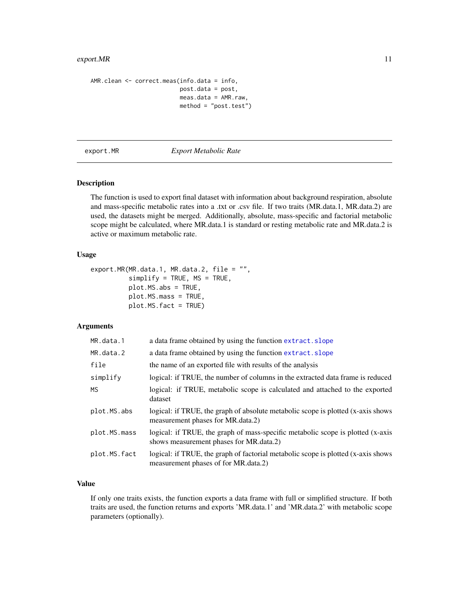## <span id="page-10-0"></span>export.MR 11

```
AMR.clean <- correct.meas(info.data = info,
                          post.data = post,
                          meas.data = AMR.raw,
                          method = "post.test")
```
#### <span id="page-10-1"></span>export.MR *Export Metabolic Rate*

## Description

The function is used to export final dataset with information about background respiration, absolute and mass-specific metabolic rates into a .txt or .csv file. If two traits (MR.data.1, MR.data.2) are used, the datasets might be merged. Additionally, absolute, mass-specific and factorial metabolic scope might be calculated, where MR.data.1 is standard or resting metabolic rate and MR.data.2 is active or maximum metabolic rate.

## Usage

```
export.MR(MR.data.1, MR.data.2, file = "",
          simplify = TRUE, MS = TRUE,plot.MS.abs = TRUE,
          plot.MS.mass = TRUE,
          plot.MS.fact = TRUE)
```
#### Arguments

| a data frame obtained by using the function extract. slope                                                                 |
|----------------------------------------------------------------------------------------------------------------------------|
| a data frame obtained by using the function extract. slope                                                                 |
| the name of an exported file with results of the analysis                                                                  |
| logical: if TRUE, the number of columns in the extracted data frame is reduced                                             |
| logical: if TRUE, metabolic scope is calculated and attached to the exported<br>dataset                                    |
| logical: if TRUE, the graph of absolute metabolic scope is plotted (x-axis shows<br>measurement phases for MR.data.2)      |
| logical: if TRUE, the graph of mass-specific metabolic scope is plotted (x-axis<br>shows measurement phases for MR.data.2) |
| logical: if TRUE, the graph of factorial metabolic scope is plotted (x-axis shows)<br>measurement phases of for MR.data.2) |
|                                                                                                                            |

## Value

If only one traits exists, the function exports a data frame with full or simplified structure. If both traits are used, the function returns and exports 'MR.data.1' and 'MR.data.2' with metabolic scope parameters (optionally).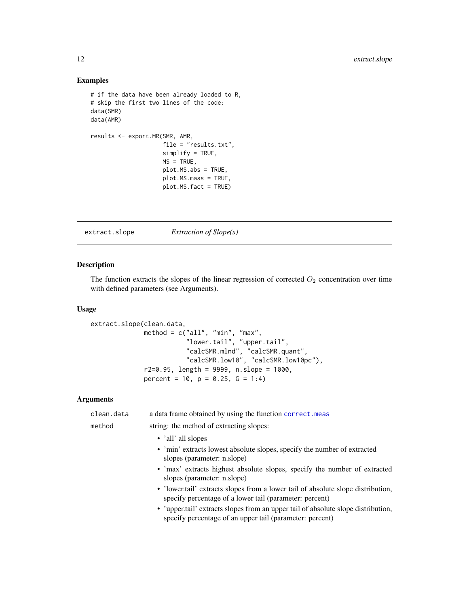## Examples

```
# if the data have been already loaded to R,
# skip the first two lines of the code:
data(SMR)
data(AMR)
results <- export.MR(SMR, AMR,
                     file = "results.txt",
                     simplify = TRUE,
                     MS = TRUE,plot.MS.abs = TRUE,
                     plot.MS.mass = TRUE,
                     plot.MS.fact = TRUE)
```
<span id="page-11-1"></span>extract.slope *Extraction of Slope(s)*

## Description

The function extracts the slopes of the linear regression of corrected  $O_2$  concentration over time with defined parameters (see Arguments).

#### Usage

```
extract.slope(clean.data,
              method = c("all", "min", "max","lower.tail", "upper.tail",
                         "calcSMR.mlnd", "calcSMR.quant",
                         "calcSMR.low10", "calcSMR.low10pc"),
              r2=0.95, length = 9999, n.slope = 1000,
              percent = 10, p = 0.25, G = 1:4)
```
## Arguments

|  | clean.data | a data frame obtained by using the function correct.meas                                                                                      |  |  |  |  |  |
|--|------------|-----------------------------------------------------------------------------------------------------------------------------------------------|--|--|--|--|--|
|  | method     | string: the method of extracting slopes:                                                                                                      |  |  |  |  |  |
|  |            | • 'all' all slopes                                                                                                                            |  |  |  |  |  |
|  |            | • 'min' extracts lowest absolute slopes, specify the number of extracted<br>slopes (parameter: n.slope)                                       |  |  |  |  |  |
|  |            | • 'max' extracts highest absolute slopes, specify the number of extracted<br>slopes (parameter: n.slope)                                      |  |  |  |  |  |
|  |            | • 'lower.tail' extracts slopes from a lower tail of absolute slope distribution,<br>specify percentage of a lower tail (parameter: percent)   |  |  |  |  |  |
|  |            | • 'upper.tail' extracts slopes from an upper tail of absolute slope distribution,<br>specify percentage of an upper tail (parameter: percent) |  |  |  |  |  |
|  |            |                                                                                                                                               |  |  |  |  |  |

<span id="page-11-0"></span>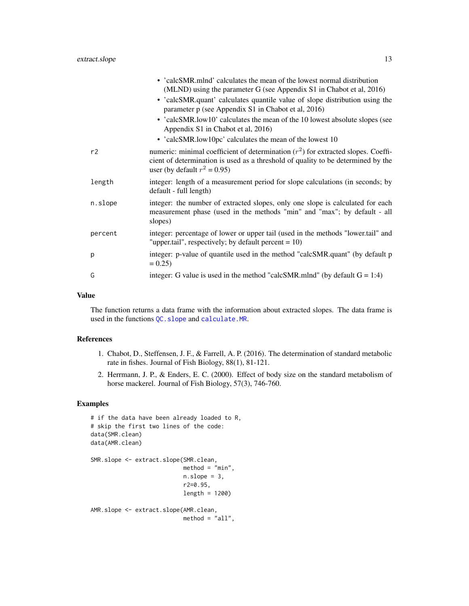<span id="page-12-0"></span>

|         | • 'calcSMR.mlnd' calculates the mean of the lowest normal distribution<br>(MLND) using the parameter G (see Appendix S1 in Chabot et al, 2016)                                                             |
|---------|------------------------------------------------------------------------------------------------------------------------------------------------------------------------------------------------------------|
|         | • 'calcSMR.quant' calculates quantile value of slope distribution using the<br>parameter p (see Appendix S1 in Chabot et al, 2016)                                                                         |
|         | • 'calcSMR.low10' calculates the mean of the 10 lowest absolute slopes (see<br>Appendix S1 in Chabot et al, 2016)                                                                                          |
|         | • 'calcSMR.low10pc' calculates the mean of the lowest 10                                                                                                                                                   |
| r2      | numeric: minimal coefficient of determination $(r^2)$ for extracted slopes. Coeffi-<br>cient of determination is used as a threshold of quality to be determined by the<br>user (by default $r^2 = 0.95$ ) |
| length  | integer: length of a measurement period for slope calculations (in seconds; by<br>default - full length)                                                                                                   |
| n.slope | integer: the number of extracted slopes, only one slope is calculated for each<br>measurement phase (used in the methods "min" and "max"; by default - all<br>slopes)                                      |
| percent | integer: percentage of lower or upper tail (used in the methods "lower.tail" and<br>"upper.tail", respectively; by default percent = $10$ )                                                                |
| p       | integer: p-value of quantile used in the method "calcSMR.quant" (by default p<br>$= 0.25$                                                                                                                  |
| G       | integer: G value is used in the method "calcSMR.mlnd" (by default $G = 1:4$ )                                                                                                                              |
|         |                                                                                                                                                                                                            |

## Value

The function returns a data frame with the information about extracted slopes. The data frame is used in the functions [QC.slope](#page-25-1) and [calculate.MR](#page-5-1).

#### References

- 1. Chabot, D., Steffensen, J. F., & Farrell, A. P. (2016). The determination of standard metabolic rate in fishes. Journal of Fish Biology, 88(1), 81-121.
- 2. Herrmann, J. P., & Enders, E. C. (2000). Effect of body size on the standard metabolism of horse mackerel. Journal of Fish Biology, 57(3), 746-760.

## Examples

```
# if the data have been already loaded to R,
# skip the first two lines of the code:
data(SMR.clean)
data(AMR.clean)
SMR.slope <- extract.slope(SMR.clean,
                           method = "min",
                           n.sleep = 3,
                           r2=0.95,
                           length = 1200)
AMR.slope <- extract.slope(AMR.clean,
                           method = "all",
```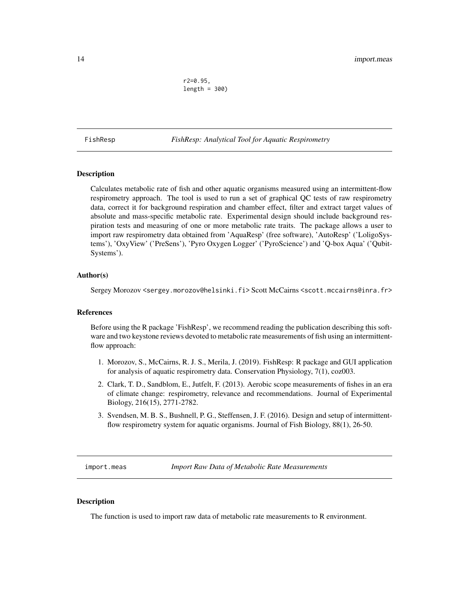r2=0.95,  $length = 300$ 

<span id="page-13-0"></span>FishResp *FishResp: Analytical Tool for Aquatic Respirometry*

## Description

Calculates metabolic rate of fish and other aquatic organisms measured using an intermittent-flow respirometry approach. The tool is used to run a set of graphical QC tests of raw respirometry data, correct it for background respiration and chamber effect, filter and extract target values of absolute and mass-specific metabolic rate. Experimental design should include background respiration tests and measuring of one or more metabolic rate traits. The package allows a user to import raw respirometry data obtained from 'AquaResp' (free software), 'AutoResp' ('LoligoSystems'), 'OxyView' ('PreSens'), 'Pyro Oxygen Logger' ('PyroScience') and 'Q-box Aqua' ('Qubit-Systems').

## Author(s)

Sergey Morozov <sergey.morozov@helsinki.fi> Scott McCairns <scott.mccairns@inra.fr>

#### References

Before using the R package 'FishResp', we recommend reading the publication describing this software and two keystone reviews devoted to metabolic rate measurements of fish using an intermittentflow approach:

- 1. Morozov, S., McCairns, R. J. S., Merila, J. (2019). FishResp: R package and GUI application for analysis of aquatic respirometry data. Conservation Physiology, 7(1), coz003.
- 2. Clark, T. D., Sandblom, E., Jutfelt, F. (2013). Aerobic scope measurements of fishes in an era of climate change: respirometry, relevance and recommendations. Journal of Experimental Biology, 216(15), 2771-2782.
- 3. Svendsen, M. B. S., Bushnell, P. G., Steffensen, J. F. (2016). Design and setup of intermittentflow respirometry system for aquatic organisms. Journal of Fish Biology, 88(1), 26-50.

<span id="page-13-1"></span>import.meas *Import Raw Data of Metabolic Rate Measurements*

## Description

The function is used to import raw data of metabolic rate measurements to R environment.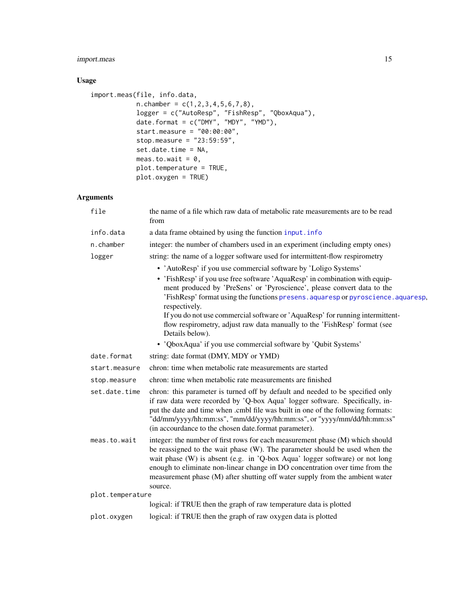## <span id="page-14-0"></span>import.meas 15

## Usage

```
import.meas(file, info.data,
           n.chamber = c(1,2,3,4,5,6,7,8),
            logger = c("AutoResp", "FishResp", "QboxAqua"),
            date.format = c("DMY", "MDY", "YMD"),
            start.measure = "00:00:00",
            stop.measure = "23:59:59",
            set.date.time = NA,
            meas.to.wait = 0,
            plot.temperature = TRUE,
            plot.oxygen = TRUE)
```
## Arguments

| file             | the name of a file which raw data of metabolic rate measurements are to be read<br>from                                                                                                                                                                                                                                                                                                                                                       |
|------------------|-----------------------------------------------------------------------------------------------------------------------------------------------------------------------------------------------------------------------------------------------------------------------------------------------------------------------------------------------------------------------------------------------------------------------------------------------|
| info.data        | a data frame obtained by using the function input.info                                                                                                                                                                                                                                                                                                                                                                                        |
| n.chamber        | integer: the number of chambers used in an experiment (including empty ones)                                                                                                                                                                                                                                                                                                                                                                  |
| logger           | string: the name of a logger software used for intermittent-flow respirometry                                                                                                                                                                                                                                                                                                                                                                 |
|                  | • 'AutoResp' if you use commercial software by 'Loligo Systems'                                                                                                                                                                                                                                                                                                                                                                               |
|                  | • 'FishResp' if you use free software 'AquaResp' in combination with equip-<br>ment produced by 'PreSens' or 'Pyroscience', please convert data to the<br>'FishResp' format using the functions presens. aquaresp or pyroscience. aquaresp,<br>respectively.<br>If you do not use commercial software or 'AquaResp' for running intermittent-<br>flow respirometry, adjust raw data manually to the 'FishResp' format (see<br>Details below). |
|                  | • 'QboxAqua' if you use commercial software by 'Qubit Systems'                                                                                                                                                                                                                                                                                                                                                                                |
| date.format      | string: date format (DMY, MDY or YMD)                                                                                                                                                                                                                                                                                                                                                                                                         |
| start.measure    | chron: time when metabolic rate measurements are started                                                                                                                                                                                                                                                                                                                                                                                      |
| stop.measure     | chron: time when metabolic rate measurements are finished                                                                                                                                                                                                                                                                                                                                                                                     |
| set.date.time    | chron: this parameter is turned off by default and needed to be specified only<br>if raw data were recorded by 'Q-box Aqua' logger software. Specifically, in-<br>put the date and time when .cmbl file was built in one of the following formats:<br>"dd/mm/yyyy/hh:mm:ss", "mm/dd/yyyy/hh:mm:ss", or "yyyy/mm/dd/hh:mm:ss"<br>(in accourdance to the chosen date.format parameter).                                                         |
| meas.to.wait     | integer: the number of first rows for each measurement phase (M) which should<br>be reassigned to the wait phase (W). The parameter should be used when the<br>wait phase (W) is absent (e.g. in 'Q-box Aqua' logger software) or not long<br>enough to eliminate non-linear change in DO concentration over time from the<br>measurement phase (M) after shutting off water supply from the ambient water<br>source.                         |
| plot.temperature |                                                                                                                                                                                                                                                                                                                                                                                                                                               |
|                  | logical: if TRUE then the graph of raw temperature data is plotted                                                                                                                                                                                                                                                                                                                                                                            |
| plot.oxygen      | logical: if TRUE then the graph of raw oxygen data is plotted                                                                                                                                                                                                                                                                                                                                                                                 |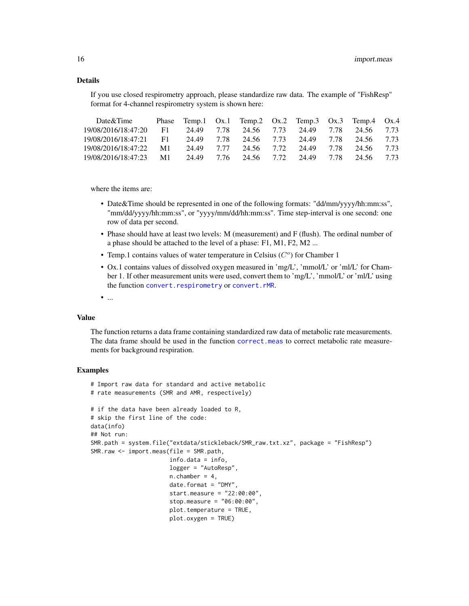## Details

If you use closed respirometry approach, please standardize raw data. The example of "FishResp" format for 4-channel respirometry system is shown here:

| Date&Time              |    |            | Phase Temp.1 Ox.1 Temp.2 Ox.2 Temp.3 Ox.3 Temp.4 Ox.4 |  |                                  |  |
|------------------------|----|------------|-------------------------------------------------------|--|----------------------------------|--|
| 19/08/2016/18:47:20    | F1 | 24.49 7.78 |                                                       |  | 24.56 7.73 24.49 7.78 24.56 7.73 |  |
| 19/08/2016/18:47:21 F1 |    | 24.49 7.78 |                                                       |  | 24.56 7.73 24.49 7.78 24.56 7.73 |  |
| 19/08/2016/18:47:22    | M1 |            | 24.49 7.77 24.56 7.72 24.49 7.78 24.56 7.73           |  |                                  |  |
| 19/08/2016/18:47:23 M1 |    |            | 24.49 7.76 24.56 7.72 24.49 7.78 24.56 7.73           |  |                                  |  |

where the items are:

- Date&Time should be represented in one of the following formats: "dd/mm/yyyy/hh:mm:ss", "mm/dd/yyyy/hh:mm:ss", or "yyyy/mm/dd/hh:mm:ss". Time step-interval is one second: one row of data per second.
- Phase should have at least two levels: M (measurement) and F (flush). The ordinal number of a phase should be attached to the level of a phase: F1, M1, F2, M2 ...
- Temp.1 contains values of water temperature in Celsius  $(C<sup>o</sup>)$  for Chamber 1
- Ox.1 contains values of dissolved oxygen measured in 'mg/L', 'mmol/L' or 'ml/L' for Chamber 1. If other measurement units were used, convert them to 'mg/L', 'mmol/L' or 'ml/L' using the function [convert.respirometry](#page-6-1) or [convert.rMR](#page-7-1).
- ...

## Value

The function returns a data frame containing standardized raw data of metabolic rate measurements. The data frame should be used in the function [correct.meas](#page-8-1) to correct metabolic rate measurements for background respiration.

#### Examples

```
# Import raw data for standard and active metabolic
# rate measurements (SMR and AMR, respectively)
# if the data have been already loaded to R,
# skip the first line of the code:
data(info)
## Not run:
SMR.path = system.file("extdata/stickleback/SMR_raw.txt.xz", package = "FishResp")
SMR.raw <- import.meas(file = SMR.path,
                       info.data = info,
                       logger = "AutoResp",
                       n.chamber = 4,
                       date.format = "DMY",
                       start.measure = "22:00:00",
                       stop.measure = "06:00:00",
                       plot.temperature = TRUE,
                       plot.oxygen = TRUE)
```
<span id="page-15-0"></span>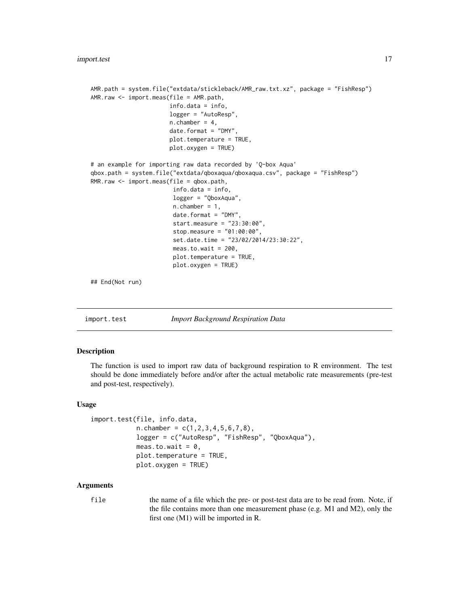```
AMR.path = system.file("extdata/stickleback/AMR_raw.txt.xz", package = "FishResp")
AMR.raw <- import.meas(file = AMR.path,
                       info.data = info,
                       logger = "AutoResp",
                       n.chamber = 4,
                       date.format = "DMY",
                       plot.temperature = TRUE,
                       plot.oxygen = TRUE)
# an example for importing raw data recorded by 'Q-box Aqua'
qbox.path = system.file("extdata/qboxaqua/qboxaqua.csv", package = "FishResp")
RMR.raw <- import.meas(file = qbox.path,
                        info.data = info,
                        logger = "QboxAqua",
                        n.chamber = 1,
                        date.format = "DMY",
                        start.measure = "23:30:00",
                        stop.measure = "01:00:00",
                        set.date.time = "23/02/2014/23:30:22",
                        meas.to.wait = 200,
                        plot.temperature = TRUE,
                        plot.oxygen = TRUE)
## End(Not run)
```
<span id="page-16-1"></span>import.test *Import Background Respiration Data*

#### **Description**

The function is used to import raw data of background respiration to R environment. The test should be done immediately before and/or after the actual metabolic rate measurements (pre-test and post-test, respectively).

#### Usage

```
import.test(file, info.data,
            n.chamber = c(1,2,3,4,5,6,7,8),
            logger = c("AutoResp", "FishResp", "QboxAqua"),
            meas.to.wait = 0,
            plot.temperature = TRUE,
            plot.oxygen = TRUE)
```
#### Arguments

file the name of a file which the pre- or post-test data are to be read from. Note, if the file contains more than one measurement phase (e.g. M1 and M2), only the first one (M1) will be imported in R.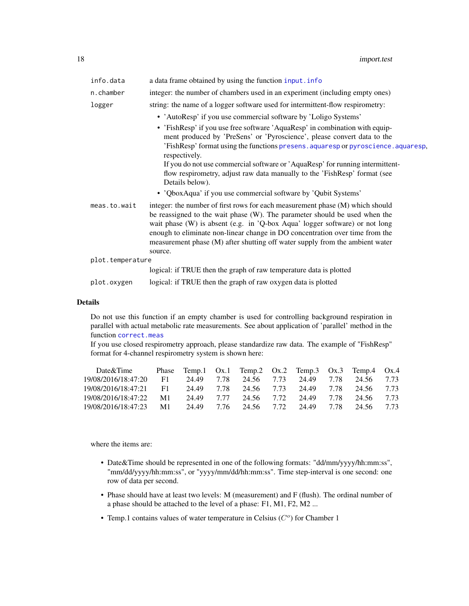<span id="page-17-0"></span>

| info.data        | a data frame obtained by using the function input. info                                                                                                                                                                                                                                                                                                                                                    |
|------------------|------------------------------------------------------------------------------------------------------------------------------------------------------------------------------------------------------------------------------------------------------------------------------------------------------------------------------------------------------------------------------------------------------------|
| n.chamber        | integer: the number of chambers used in an experiment (including empty ones)                                                                                                                                                                                                                                                                                                                               |
| logger           | string: the name of a logger software used for intermittent-flow respirometry:                                                                                                                                                                                                                                                                                                                             |
|                  | • 'AutoResp' if you use commercial software by 'Loligo Systems'                                                                                                                                                                                                                                                                                                                                            |
|                  | • 'FishResp' if you use free software 'AquaResp' in combination with equip-<br>ment produced by 'PreSens' or 'Pyroscience', please convert data to the<br>'FishResp' format using the functions presens. aquaresp or pyroscience. aquaresp,<br>respectively.                                                                                                                                               |
|                  | If you do not use commercial software or 'AquaResp' for running intermittent-<br>flow respirometry, adjust raw data manually to the 'FishResp' format (see<br>Details below).                                                                                                                                                                                                                              |
|                  | • 'QboxAqua' if you use commercial software by 'Qubit Systems'                                                                                                                                                                                                                                                                                                                                             |
| meas.to.wait     | integer: the number of first rows for each measurement phase (M) which should<br>be reassigned to the wait phase (W). The parameter should be used when the<br>wait phase (W) is absent (e.g. in 'Q-box Aqua' logger software) or not long<br>enough to eliminate non-linear change in DO concentration over time from the<br>measurement phase (M) after shutting off water supply from the ambient water |
|                  | source.                                                                                                                                                                                                                                                                                                                                                                                                    |
| plot.temperature | logical: if TRUE then the graph of raw temperature data is plotted                                                                                                                                                                                                                                                                                                                                         |
|                  |                                                                                                                                                                                                                                                                                                                                                                                                            |
| plot.oxygen      | logical: if TRUE then the graph of raw oxygen data is plotted                                                                                                                                                                                                                                                                                                                                              |

#### Details

Do not use this function if an empty chamber is used for controlling background respiration in parallel with actual metabolic rate measurements. See about application of 'parallel' method in the function [correct.meas](#page-8-1)

If you use closed respirometry approach, please standardize raw data. The example of "FishResp" format for 4-channel respirometry system is shown here:

| Date&Time                         |            | Phase Temp.1 Ox.1 Temp.2 Ox.2 Temp.3 Ox.3 Temp.4 Ox.4 |                                  |  |  |
|-----------------------------------|------------|-------------------------------------------------------|----------------------------------|--|--|
| 19/08/2016/18:47:20 F1            | 24.49 7.78 |                                                       | 24.56 7.73 24.49 7.78 24.56 7.73 |  |  |
| 19/08/2016/18:47:21 F1 24.49 7.78 |            |                                                       | 24.56 7.73 24.49 7.78 24.56 7.73 |  |  |
| 19/08/2016/18:47:22 M1            |            | 24.49 7.77 24.56 7.72 24.49 7.78 24.56 7.73           |                                  |  |  |
| 19/08/2016/18:47:23 M1            |            | 24.49 7.76 24.56 7.72 24.49 7.78 24.56 7.73           |                                  |  |  |

where the items are:

- Date&Time should be represented in one of the following formats: "dd/mm/yyyy/hh:mm:ss", "mm/dd/yyyy/hh:mm:ss", or "yyyy/mm/dd/hh:mm:ss". Time step-interval is one second: one row of data per second.
- Phase should have at least two levels: M (measurement) and F (flush). The ordinal number of a phase should be attached to the level of a phase: F1, M1, F2, M2 ...
- Temp.1 contains values of water temperature in Celsius  $(C<sup>o</sup>)$  for Chamber 1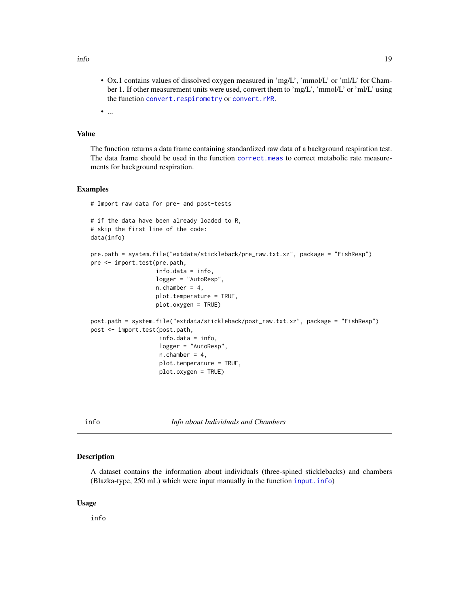<span id="page-18-0"></span>info and the set of the set of the set of the set of the set of the set of the set of the set of the set of the set of the set of the set of the set of the set of the set of the set of the set of the set of the set of the

• Ox.1 contains values of dissolved oxygen measured in 'mg/L', 'mmol/L' or 'ml/L' for Chamber 1. If other measurement units were used, convert them to 'mg/L', 'mmol/L' or 'ml/L' using the function [convert.respirometry](#page-6-1) or [convert.rMR](#page-7-1).

• ...

## Value

The function returns a data frame containing standardized raw data of a background respiration test. The data frame should be used in the function [correct.meas](#page-8-1) to correct metabolic rate measurements for background respiration.

#### Examples

```
# Import raw data for pre- and post-tests
# if the data have been already loaded to R,
# skip the first line of the code:
data(info)
pre.path = system.file("extdata/stickleback/pre_raw.txt.xz", package = "FishResp")
pre <- import.test(pre.path,
                   info.data = info,
                   logger = "AutoResp",
                   n.chamber = 4,
                   plot.temperature = TRUE,
                   plot.oxygen = TRUE)
post.path = system.file("extdata/stickleback/post_raw.txt.xz", package = "FishResp")
post <- import.test(post.path,
                    info.data = info,
                    logger = "AutoResp",
                    n.chamber = 4,
                    plot.temperature = TRUE,
                    plot.oxygen = TRUE)
```
info *Info about Individuals and Chambers*

### Description

A dataset contains the information about individuals (three-spined sticklebacks) and chambers (Blazka-type, 250 mL) which were input manually in the function [input.info](#page-19-1))

#### Usage

info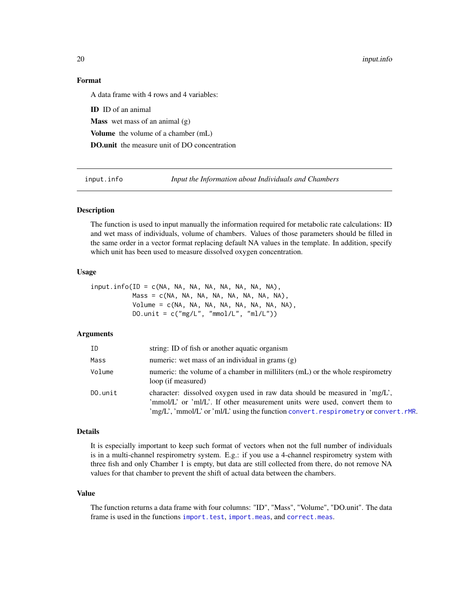20 **input.info** 

## Format

A data frame with 4 rows and 4 variables:

ID ID of an animal Mass wet mass of an animal (g) Volume the volume of a chamber (mL) DO.unit the measure unit of DO concentration

<span id="page-19-1"></span>input.info *Input the Information about Individuals and Chambers*

## Description

The function is used to input manually the information required for metabolic rate calculations: ID and wet mass of individuals, volume of chambers. Values of those parameters should be filled in the same order in a vector format replacing default NA values in the template. In addition, specify which unit has been used to measure dissolved oxygen concentration.

#### Usage

 $input.info(ID = c(NA, NA, NA, NA, NA, NA, NA, NA),$ Mass = c(NA, NA, NA, NA, NA, NA, NA, NA), Volume = c(NA, NA, NA, NA, NA, NA, NA, NA), DO.unit =  $c("mg/L", "mmol/L", "ml/L"))$ 

## Arguments

| ID         | string: ID of fish or another aquatic organism                                                                                                                                                                                                                                                    |
|------------|---------------------------------------------------------------------------------------------------------------------------------------------------------------------------------------------------------------------------------------------------------------------------------------------------|
| Mass       | numeric: wet mass of an individual in grams $(g)$                                                                                                                                                                                                                                                 |
| Volume     | numeric: the volume of a chamber in milliliters (mL) or the whole respirometry<br>loop (if measured)                                                                                                                                                                                              |
| $D0.$ unit | character: dissolved oxygen used in raw data should be measured in 'mg/L',<br>'mmol/L' or 'ml/L'. If other measurement units were used, convert them to<br>$\langle \text{mg/L}, \text{mmol/L} \rangle$ or $\langle \text{m/L} \rangle$ using the function convert, respirometry or convert, rMR. |

#### Details

It is especially important to keep such format of vectors when not the full number of individuals is in a multi-channel respirometry system. E.g.: if you use a 4-channel respirometry system with three fish and only Chamber 1 is empty, but data are still collected from there, do not remove NA values for that chamber to prevent the shift of actual data between the chambers.

## Value

The function returns a data frame with four columns: "ID", "Mass", "Volume", "DO.unit". The data frame is used in the functions [import.test](#page-16-1), [import.meas](#page-13-1), and [correct.meas](#page-8-1).

<span id="page-19-0"></span>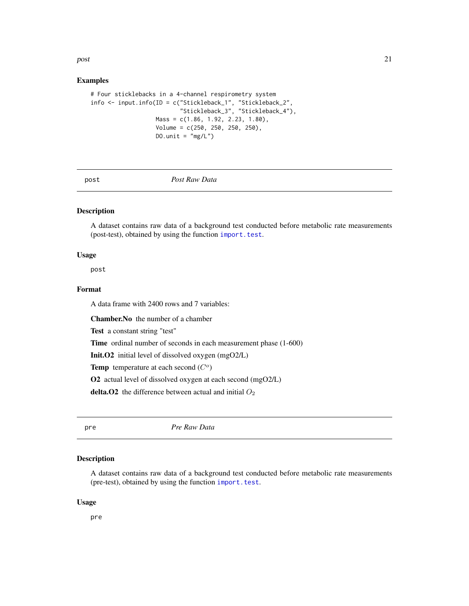#### <span id="page-20-0"></span> $_{post}$  21

## Examples

```
# Four sticklebacks in a 4-channel respirometry system
info <- input.info(ID = c("Stickleback_1", "Stickleback_2",
                          "Stickleback_3", "Stickleback_4"),
                  Mass = c(1.86, 1.92, 2.23, 1.80),
                   Volume = c(250, 250, 250, 250),
                   DO.unit = mg/L')
```
post *Post Raw Data*

## Description

A dataset contains raw data of a background test conducted before metabolic rate measurements (post-test), obtained by using the function [import.test](#page-16-1).

## Usage

post

## Format

A data frame with 2400 rows and 7 variables:

Chamber.No the number of a chamber

Test a constant string "test"

Time ordinal number of seconds in each measurement phase  $(1-600)$ 

Init.O2 initial level of dissolved oxygen (mgO2/L)

Temp temperature at each second  $(C<sup>o</sup>)$ 

O2 actual level of dissolved oxygen at each second (mgO2/L)

delta. $O2$  the difference between actual and initial  $O<sub>2</sub>$ 

pre *Pre Raw Data*

## Description

A dataset contains raw data of a background test conducted before metabolic rate measurements (pre-test), obtained by using the function [import.test](#page-16-1).

#### Usage

pre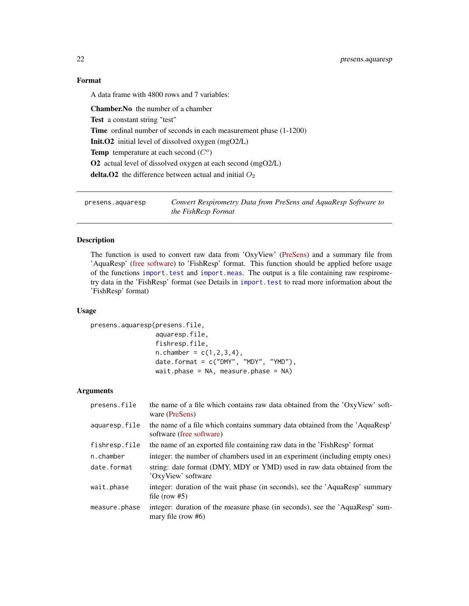## Format

A data frame with 4800 rows and 7 variables:

Chamber.No the number of a chamber Test a constant string "test" Time ordinal number of seconds in each measurement phase  $(1-1200)$ Init.O2 initial level of dissolved oxygen (mgO2/L) Temp temperature at each second  $(C<sup>o</sup>)$ O2 actual level of dissolved oxygen at each second (mgO2/L) delta. O2 the difference between actual and initial  $O_2$ 

<span id="page-21-1"></span>presens.aquaresp *Convert Respirometry Data from PreSens and AquaResp Software to the FishResp Format*

## Description

The function is used to convert raw data from 'OxyView' [\(PreSens\)](https://www.presens.de) and a summary file from 'AquaResp' [\(free software\)](www.aquaresp.com) to 'FishResp' format. This function should be applied before usage of the functions [import.test](#page-16-1) and [import.meas](#page-13-1). The output is a file containing raw respirometry data in the 'FishResp' format (see Details in [import.test](#page-16-1) to read more information about the 'FishResp' format)

#### Usage

```
presens.aquaresp(presens.file,
                 aquaresp.file,
                 fishresp.file,
                 n.chamber = c(1, 2, 3, 4),
                 date.format = c("DMY", "MDY", "YMD"),
                 wait.phase = NA, measure.phase = NA)
```
## Arguments

| presens.file  | the name of a file which contains raw data obtained from the 'OxyView' soft-<br>ware (PreSens)          |
|---------------|---------------------------------------------------------------------------------------------------------|
| aquaresp.file | the name of a file which contains summary data obtained from the 'AquaResp'<br>software (free software) |
| fishresp.file | the name of an exported file containing raw data in the 'FishResp' format                               |
| n.chamber     | integer: the number of chambers used in an experiment (including empty ones)                            |
| date.format   | string: date format (DMY, MDY or YMD) used in raw data obtained from the<br>'OxyView' software          |
| wait.phase    | integer: duration of the wait phase (in seconds), see the 'AquaResp' summary<br>file (row $#5$ )        |
| measure.phase | integer: duration of the measure phase (in seconds), see the 'AquaResp' sum-<br>mary file (row $#6$ )   |

<span id="page-21-0"></span>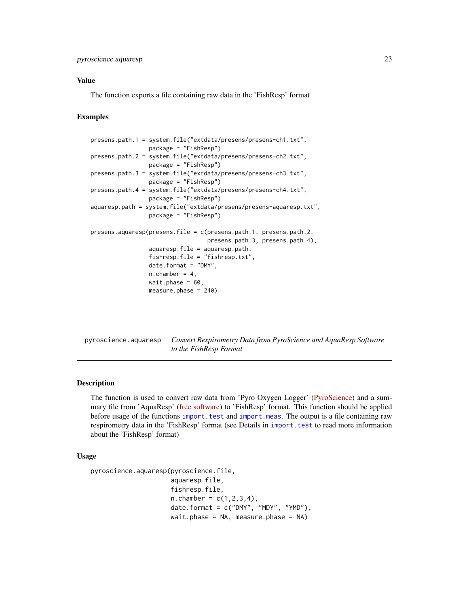## <span id="page-22-0"></span>Value

The function exports a file containing raw data in the 'FishResp' format

#### Examples

```
presens.path.1 = system.file("extdata/presens/presens-ch1.txt",
                 package = "FishResp")
presens.path.2 = system.file("extdata/presens/presens-ch2.txt",
                 package = "FishResp")
presens.path.3 = system.file("extdata/presens/presens-ch3.txt",
                 package = "FishResp")
presens.path.4 = system.file("extdata/presens/presens-ch4.txt",
                 package = "FishResp")
aquaresp.path = system.file("extdata/presens/presens-aquaresp.txt",
                 package = "FishResp")
presens.aquaresp(presens.file = c(presens.path.1, presens.path.2,
                                  presens.path.3, presens.path.4),
                 aquaresp.file = aquaresp.path,
                 fishresp.file = "fishresp.txt",
                 date.format = "DMY",
                 n.chamber = 4,
                 wait.phase = 60,
                 measure.phase = 240)
```
<span id="page-22-1"></span>pyroscience.aquaresp *Convert Respirometry Data from PyroScience and AquaResp Software to the FishResp Format*

#### Description

The function is used to convert raw data from 'Pyro Oxygen Logger' [\(PyroScience\)](https://www.pyro-science.com) and a summary file from 'AquaResp' [\(free software\)](www.aquaresp.com) to 'FishResp' format. This function should be applied before usage of the functions [import.test](#page-16-1) and [import.meas](#page-13-1). The output is a file containing raw respirometry data in the 'FishResp' format (see Details in [import.test](#page-16-1) to read more information about the 'FishResp' format)

#### Usage

```
pyroscience.aquaresp(pyroscience.file,
                     aquaresp.file,
                     fishresp.file,
                     n.chamber = c(1, 2, 3, 4),
                     date.format = c("DMY", "MDY", "YMD"),
                     wait.phase = NA, measure.phase = NA)
```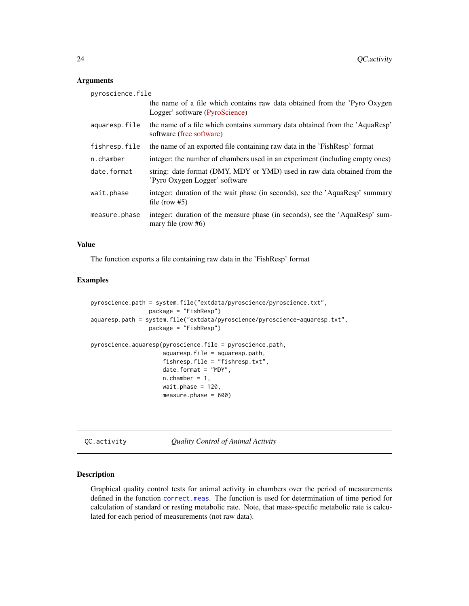#### Arguments

| pyroscience.file |                                                                                                             |
|------------------|-------------------------------------------------------------------------------------------------------------|
|                  | the name of a file which contains raw data obtained from the 'Pyro Oxygen<br>Logger' software (PyroScience) |
| aquaresp.file    | the name of a file which contains summary data obtained from the 'AquaResp'<br>software (free software)     |
| fishresp.file    | the name of an exported file containing raw data in the 'FishResp' format                                   |
| n.chamber        | integer: the number of chambers used in an experiment (including empty ones)                                |
| date.format      | string: date format (DMY, MDY or YMD) used in raw data obtained from the<br>'Pyro Oxygen Logger' software   |
| wait.phase       | integer: duration of the wait phase (in seconds), see the 'AquaResp' summary<br>file (row $#5$ )            |
| measure.phase    | integer: duration of the measure phase (in seconds), see the 'AquaResp' sum-<br>mary file (row $#6$ )       |

## Value

The function exports a file containing raw data in the 'FishResp' format

## Examples

```
pyroscience.path = system.file("extdata/pyroscience/pyroscience.txt",
                 package = "FishResp")
aquaresp.path = system.file("extdata/pyroscience/pyroscience-aquaresp.txt",
                 package = "FishResp")
pyroscience.aquaresp(pyroscience.file = pyroscience.path,
                     aquaresp.file = aquaresp.path,
                     fishresp.file = "fishresp.txt",
                     date.format = "MDY",
                     n.chamber = 1,
                     wait.phase = 120,
                     measure.phase = 600)
```
<span id="page-23-1"></span>QC.activity *Quality Control of Animal Activity*

#### Description

Graphical quality control tests for animal activity in chambers over the period of measurements defined in the function [correct.meas](#page-8-1). The function is used for determination of time period for calculation of standard or resting metabolic rate. Note, that mass-specific metabolic rate is calculated for each period of measurements (not raw data).

<span id="page-23-0"></span>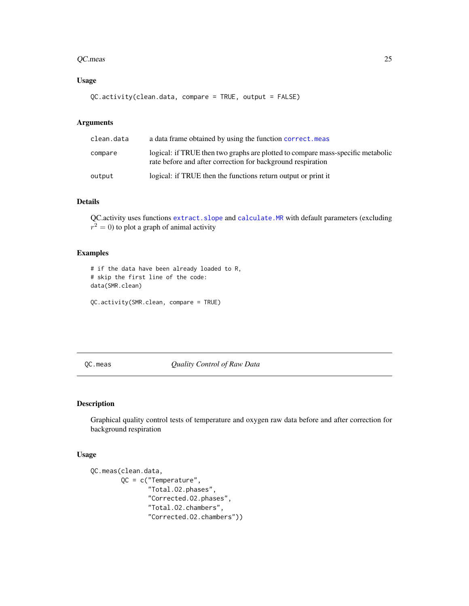#### <span id="page-24-0"></span>QC.meas 25

## Usage

```
QC.activity(clean.data, compare = TRUE, output = FALSE)
```
## Arguments

| clean.data | a data frame obtained by using the function correct. meas                                                                                      |
|------------|------------------------------------------------------------------------------------------------------------------------------------------------|
| compare    | logical: if TRUE then two graphs are plotted to compare mass-specific metabolic<br>rate before and after correction for background respiration |
| output     | logical: if TRUE then the functions return output or print it                                                                                  |

## Details

QC.activity uses functions [extract.slope](#page-11-1) and [calculate.MR](#page-5-1) with default parameters (excluding  $r^2 = 0$ ) to plot a graph of animal activity

## Examples

```
# if the data have been already loaded to R,
# skip the first line of the code:
data(SMR.clean)
```

```
QC.activity(SMR.clean, compare = TRUE)
```
<span id="page-24-1"></span>QC.meas *Quality Control of Raw Data*

## Description

Graphical quality control tests of temperature and oxygen raw data before and after correction for background respiration

## Usage

```
QC.meas(clean.data,
        QC = c("Temperature",
               "Total.O2.phases",
               "Corrected.O2.phases",
               "Total.O2.chambers",
               "Corrected.O2.chambers"))
```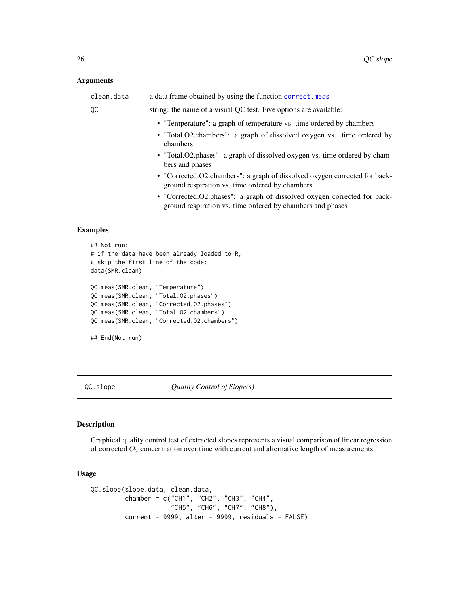#### <span id="page-25-0"></span>Arguments

| clean.data | a data frame obtained by using the function correct.meas                                                                                                   |
|------------|------------------------------------------------------------------------------------------------------------------------------------------------------------|
| QC         | string: the name of a visual QC test. Five options are available:                                                                                          |
|            | • "Temperature": a graph of temperature vs. time ordered by chambers<br>• "Total.O2.chambers": a graph of dissolved oxygen vs. time ordered by<br>chambers |
|            | • "Total.O2.phases": a graph of dissolved oxygen vs. time ordered by cham-<br>bers and phases                                                              |
|            | • "Corrected.O2.chambers": a graph of dissolved oxygen corrected for back-<br>ground respiration vs. time ordered by chambers                              |
|            | • "Corrected.O2.phases": a graph of dissolved oxygen corrected for back-<br>ground respiration vs. time ordered by chambers and phases                     |
|            |                                                                                                                                                            |
|            |                                                                                                                                                            |

#### Examples

```
## Not run:
# if the data have been already loaded to R,
# skip the first line of the code:
data(SMR.clean)
QC.meas(SMR.clean, "Temperature")
QC.meas(SMR.clean, "Total.O2.phases")
QC.meas(SMR.clean, "Corrected.O2.phases")
QC.meas(SMR.clean, "Total.O2.chambers")
QC.meas(SMR.clean, "Corrected.O2.chambers")
## End(Not run)
```
<span id="page-25-1"></span>QC.slope *Quality Control of Slope(s)*

## Description

Graphical quality control test of extracted slopes represents a visual comparison of linear regression of corrected  $O_2$  concentration over time with current and alternative length of measurements.

## Usage

```
QC.slope(slope.data, clean.data,
         chamber = c("CH1", "CH2", "CH3", "CH4",
                     "CH5", "CH6", "CH7", "CH8"),
         current = 9999, alter = 9999, residuals = FALSE)
```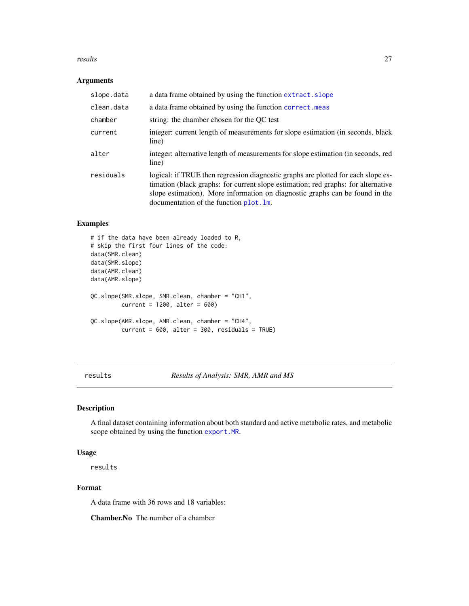#### <span id="page-26-0"></span>results 27

## Arguments

| slope.data | a data frame obtained by using the function extract. slope                                                                                                                                                                                                                                        |
|------------|---------------------------------------------------------------------------------------------------------------------------------------------------------------------------------------------------------------------------------------------------------------------------------------------------|
| clean.data | a data frame obtained by using the function correct.meas                                                                                                                                                                                                                                          |
| chamber    | string: the chamber chosen for the OC test                                                                                                                                                                                                                                                        |
| current    | integer: current length of measurements for slope estimation (in seconds, black<br>line)                                                                                                                                                                                                          |
| alter      | integer: alternative length of measurements for slope estimation (in seconds, red<br>line)                                                                                                                                                                                                        |
| residuals  | logical: if TRUE then regression diagnostic graphs are plotted for each slope es-<br>timation (black graphs: for current slope estimation; red graphs: for alternative<br>slope estimation). More information on diagnostic graphs can be found in the<br>documentation of the function plot. lm. |

## Examples

```
# if the data have been already loaded to R,
# skip the first four lines of the code:
data(SMR.clean)
data(SMR.slope)
data(AMR.clean)
data(AMR.slope)
QC.slope(SMR.slope, SMR.clean, chamber = "CH1",
        current = 1200, alter = 600)QC.slope(AMR.slope, AMR.clean, chamber = "CH4",
        current = 600, alter = 300, residuals = TRUE)
```
results *Results of Analysis: SMR, AMR and MS*

## Description

A final dataset containing information about both standard and active metabolic rates, and metabolic scope obtained by using the function [export.MR](#page-10-1).

#### Usage

results

## Format

A data frame with 36 rows and 18 variables:

Chamber.No The number of a chamber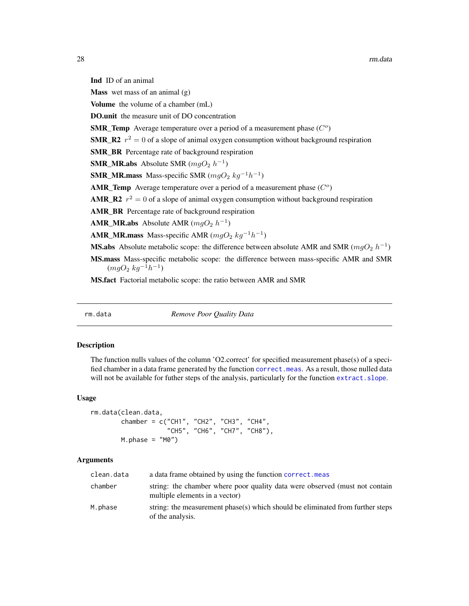<span id="page-27-0"></span>Ind ID of an animal

**Mass** wet mass of an animal  $(g)$ 

Volume the volume of a chamber (mL)

DO.unit the measure unit of DO concentration

**SMR\_Temp** Average temperature over a period of a measurement phase  $(C<sup>o</sup>)$ 

**SMR\_R2**  $r^2 = 0$  of a slope of animal oxygen consumption without background respiration

SMR\_BR Percentage rate of background respiration

**SMR\_MR.abs** Absolute SMR  $(mgO_2 h^{-1})$ 

**SMR\_MR.mass** Mass-specific SMR ( $mgO<sub>2</sub> kg<sup>-1</sup>h<sup>-1</sup>$ )

AMR\_Temp Average temperature over a period of a measurement phase  $(C<sup>o</sup>)$ 

**AMR\_R2**  $r^2 = 0$  of a slope of animal oxygen consumption without background respiration

AMR\_BR Percentage rate of background respiration

**AMR\_MR.abs** Absolute AMR  $(mgO_2 h^{-1})$ 

**AMR\_MR.mass** Mass-specific AMR  $(mgO_2 kg^{-1}h^{-1})$ 

**MS.abs** Absolute metabolic scope: the difference between absolute AMR and SMR ( $mgO_2 h^{-1}$ )

MS.mass Mass-specific metabolic scope: the difference between mass-specific AMR and SMR  $(mgO_2\ kg^{-1}h^{-1})$ 

MS.fact Factorial metabolic scope: the ratio between AMR and SMR

rm.data *Remove Poor Quality Data*

## **Description**

The function nulls values of the column 'O2.correct' for specified measurement phase(s) of a specified chamber in a data frame generated by the function [correct.meas](#page-8-1). As a result, those nulled data will not be available for futher steps of the analysis, particularly for the function extract. slope.

#### Usage

```
rm.data(clean.data,
       chamber = c("CH1", "CH2", "CH3", "CH4",
                    "CH5", "CH6", "CH7", "CH8"),
       M.phase = "M0")
```
#### Arguments

| clean.data | a data frame obtained by using the function correct, meas                                                     |
|------------|---------------------------------------------------------------------------------------------------------------|
| chamber    | string: the chamber where poor quality data were observed (must not contain<br>multiple elements in a vector) |
| M.phase    | string: the measurement phase(s) which should be eliminated from further steps<br>of the analysis.            |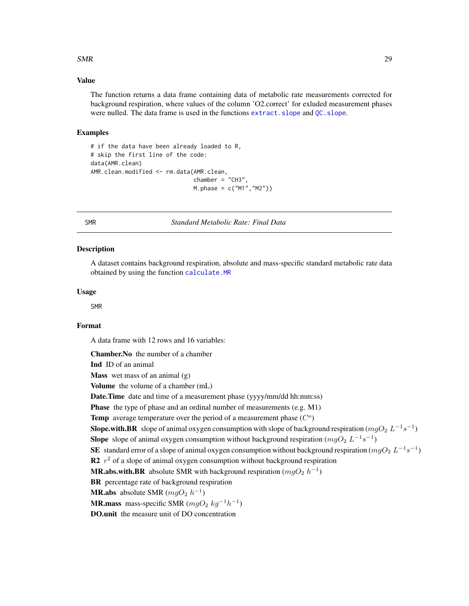#### <span id="page-28-0"></span> $SMR$  29

## Value

The function returns a data frame containing data of metabolic rate measurements corrected for background respiration, where values of the column 'O2.correct' for exluded measurement phases were nulled. The data frame is used in the functions extract. slope and QC. slope.

#### Examples

```
# if the data have been already loaded to R,
# skip the first line of the code:
data(AMR.clean)
AMR.clean.modified <- rm.data(AMR.clean,
                              chamber = "CH3".M.phase = c("M1","M2"))
```
SMR *Standard Metabolic Rate: Final Data*

## **Description**

A dataset contains background respiration, absolute and mass-specific standard metabolic rate data obtained by using the function [calculate.MR](#page-5-1)

#### Usage

SMR

## Format

A data frame with 12 rows and 16 variables:

Chamber.No the number of a chamber

Ind ID of an animal

**Mass** wet mass of an animal  $(g)$ 

Volume the volume of a chamber (mL)

Date.Time date and time of a measurement phase (yyyy/mm/dd hh:mm:ss)

Phase the type of phase and an ordinal number of measurements (e.g. M1)

**Temp** average temperature over the period of a measurement phase  $(C<sup>o</sup>)$ 

```
Slope.with.BR slope of animal oxygen consumption with slope of background respiration (mgO_2 L^{-1}s^{-1})
```
**Slope** slope of animal oxygen consumption without background respiration  $(mgO_2 L^{-1}s^{-1})$ 

SE standard error of a slope of animal oxygen consumption without background respiration ( $mgO_2$   $L^{-1}s^{-1}$ )

R2  $r^2$  of a slope of animal oxygen consumption without background respiration

**MR.abs.with.BR** absolute SMR with background respiration  $(mgO_2 h^{-1})$ 

BR percentage rate of background respiration

**MR.abs** absolute SMR  $(mgO_2 h^{-1})$ 

**MR.mass** mass-specific SMR  $(mgO_2 kg^{-1}h^{-1})$ 

DO.unit the measure unit of DO concentration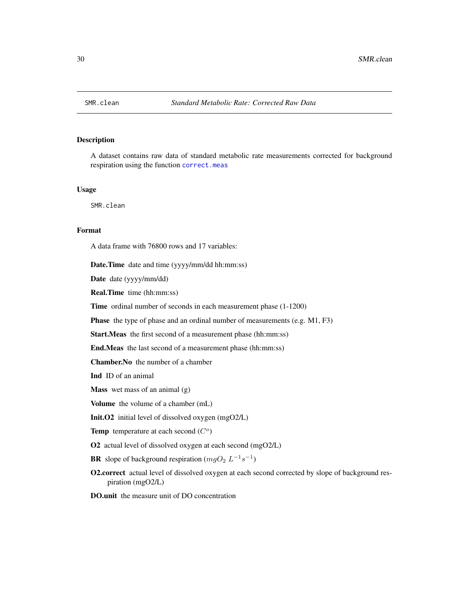<span id="page-29-0"></span>

A dataset contains raw data of standard metabolic rate measurements corrected for background respiration using the function [correct.meas](#page-8-1)

#### Usage

SMR.clean

#### Format

A data frame with 76800 rows and 17 variables:

Date.Time date and time (yyyy/mm/dd hh:mm:ss)

Date date (yyyy/mm/dd)

Real.Time time (hh:mm:ss)

Time ordinal number of seconds in each measurement phase (1-1200)

Phase the type of phase and an ordinal number of measurements (e.g. M1, F3)

Start.Meas the first second of a measurement phase (hh:mm:ss)

End.Meas the last second of a measurement phase (hh:mm:ss)

Chamber.No the number of a chamber

Ind ID of an animal

Mass wet mass of an animal (g)

Volume the volume of a chamber (mL)

Init.O2 initial level of dissolved oxygen (mgO2/L)

Temp temperature at each second  $(C<sup>o</sup>)$ 

O2 actual level of dissolved oxygen at each second (mgO2/L)

**BR** slope of background respiration  $(mgO_2 L^{-1} s^{-1})$ 

O2.correct actual level of dissolved oxygen at each second corrected by slope of background respiration (mgO2/L)

DO.unit the measure unit of DO concentration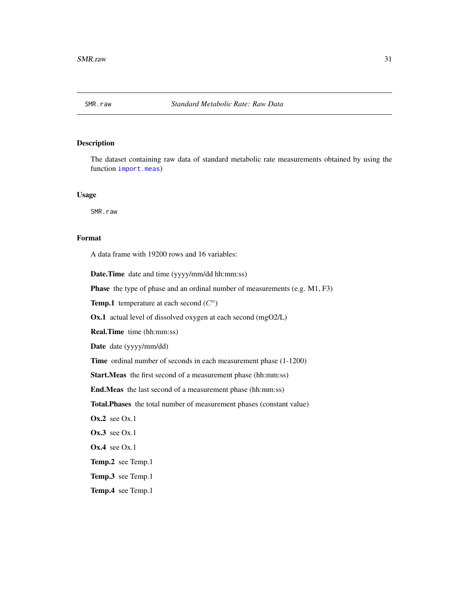<span id="page-30-0"></span>

The dataset containing raw data of standard metabolic rate measurements obtained by using the function [import.meas](#page-13-1))

#### Usage

SMR.raw

## Format

A data frame with 19200 rows and 16 variables:

Date.Time date and time (yyyy/mm/dd hh:mm:ss)

Phase the type of phase and an ordinal number of measurements (e.g. M1, F3)

Temp.1 temperature at each second  $(C<sup>o</sup>)$ 

Ox.1 actual level of dissolved oxygen at each second (mgO2/L)

Real.Time time (hh:mm:ss)

Date date (yyyy/mm/dd)

Time ordinal number of seconds in each measurement phase (1-1200)

Start.Meas the first second of a measurement phase (hh:mm:ss)

End.Meas the last second of a measurement phase (hh:mm:ss)

Total.Phases the total number of measurement phases (constant value)

 $Ox.2$  see  $Ox.1$ 

Ox.3 see Ox.1

Ox.4 see Ox.1

Temp.2 see Temp.1

Temp.3 see Temp.1

Temp.4 see Temp.1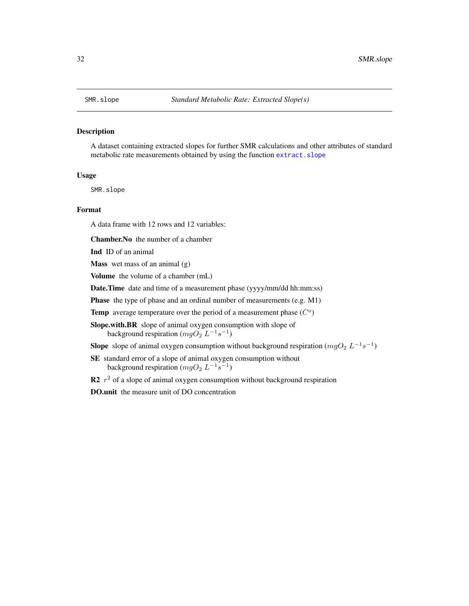<span id="page-31-0"></span>A dataset containing extracted slopes for further SMR calculations and other attributes of standard metabolic rate measurements obtained by using the function [extract.slope](#page-11-1)

#### Usage

SMR.slope

## Format

A data frame with 12 rows and 12 variables:

Chamber.No the number of a chamber

Ind ID of an animal

**Mass** wet mass of an animal  $(g)$ 

Volume the volume of a chamber (mL)

Date.Time date and time of a measurement phase (yyyy/mm/dd hh:mm:ss)

Phase the type of phase and an ordinal number of measurements (e.g. M1)

Temp average temperature over the period of a measurement phase  $(C<sup>o</sup>)$ 

Slope.with.BR slope of animal oxygen consumption with slope of background respiration  $(mgO_2 L^{-1}s^{-1})$ 

**Slope** slope of animal oxygen consumption without background respiration  $(mgO_2 L^{-1}s^{-1})$ 

SE standard error of a slope of animal oxygen consumption without background respiration  $(mgO_2 L^{-1}s^{-1})$ 

R2  $r^2$  of a slope of animal oxygen consumption without background respiration

DO.unit the measure unit of DO concentration